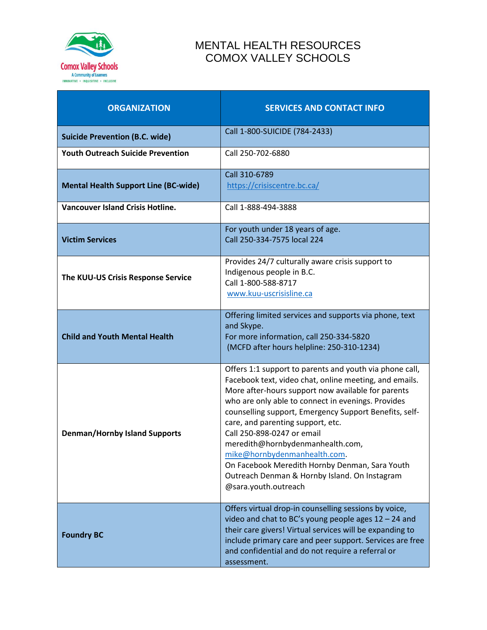

## MENTAL HEALTH RESOURCES COMOX VALLEY SCHOOLS

| <b>ORGANIZATION</b>                         | <b>SERVICES AND CONTACT INFO</b>                                                                                                                                                                                                                                                                                                                                                                                                                                                                                                                          |
|---------------------------------------------|-----------------------------------------------------------------------------------------------------------------------------------------------------------------------------------------------------------------------------------------------------------------------------------------------------------------------------------------------------------------------------------------------------------------------------------------------------------------------------------------------------------------------------------------------------------|
| <b>Suicide Prevention (B.C. wide)</b>       | Call 1-800-SUICIDE (784-2433)                                                                                                                                                                                                                                                                                                                                                                                                                                                                                                                             |
| <b>Youth Outreach Suicide Prevention</b>    | Call 250-702-6880                                                                                                                                                                                                                                                                                                                                                                                                                                                                                                                                         |
| <b>Mental Health Support Line (BC-wide)</b> | Call 310-6789<br>https://crisiscentre.bc.ca/                                                                                                                                                                                                                                                                                                                                                                                                                                                                                                              |
| <b>Vancouver Island Crisis Hotline.</b>     | Call 1-888-494-3888                                                                                                                                                                                                                                                                                                                                                                                                                                                                                                                                       |
| <b>Victim Services</b>                      | For youth under 18 years of age.<br>Call 250-334-7575 local 224                                                                                                                                                                                                                                                                                                                                                                                                                                                                                           |
| The KUU-US Crisis Response Service          | Provides 24/7 culturally aware crisis support to<br>Indigenous people in B.C.<br>Call 1-800-588-8717<br>www.kuu-uscrisisline.ca                                                                                                                                                                                                                                                                                                                                                                                                                           |
| <b>Child and Youth Mental Health</b>        | Offering limited services and supports via phone, text<br>and Skype.<br>For more information, call 250-334-5820<br>(MCFD after hours helpline: 250-310-1234)                                                                                                                                                                                                                                                                                                                                                                                              |
| <b>Denman/Hornby Island Supports</b>        | Offers 1:1 support to parents and youth via phone call,<br>Facebook text, video chat, online meeting, and emails.<br>More after-hours support now available for parents<br>who are only able to connect in evenings. Provides<br>counselling support, Emergency Support Benefits, self-<br>care, and parenting support, etc.<br>Call 250-898-0247 or email<br>meredith@hornbydenmanhealth.com,<br>mike@hornbydenmanhealth.com.<br>On Facebook Meredith Hornby Denman, Sara Youth<br>Outreach Denman & Hornby Island. On Instagram<br>@sara.youth.outreach |
| <b>Foundry BC</b>                           | Offers virtual drop-in counselling sessions by voice,<br>video and chat to BC's young people ages $12 - 24$ and<br>their care givers! Virtual services will be expanding to<br>include primary care and peer support. Services are free<br>and confidential and do not require a referral or<br>assessment.                                                                                                                                                                                                                                               |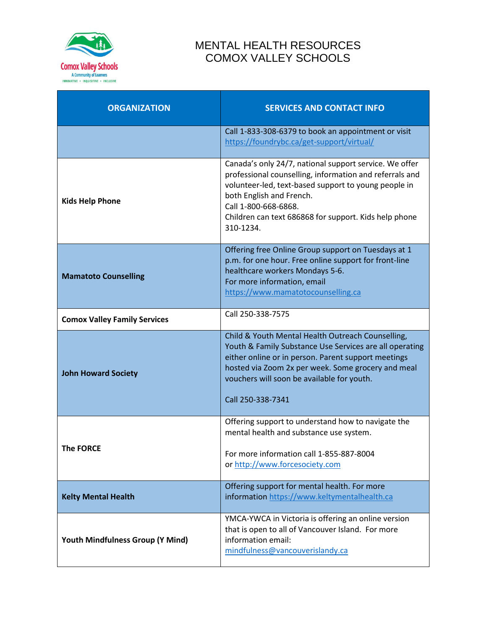

## MENTAL HEALTH RESOURCES COMOX VALLEY SCHOOLS

| <b>ORGANIZATION</b>                 | <b>SERVICES AND CONTACT INFO</b>                                                                                                                                                                                                                                                                    |
|-------------------------------------|-----------------------------------------------------------------------------------------------------------------------------------------------------------------------------------------------------------------------------------------------------------------------------------------------------|
|                                     | Call 1-833-308-6379 to book an appointment or visit<br>https://foundrybc.ca/get-support/virtual/                                                                                                                                                                                                    |
| <b>Kids Help Phone</b>              | Canada's only 24/7, national support service. We offer<br>professional counselling, information and referrals and<br>volunteer-led, text-based support to young people in<br>both English and French.<br>Call 1-800-668-6868.<br>Children can text 686868 for support. Kids help phone<br>310-1234. |
| <b>Mamatoto Counselling</b>         | Offering free Online Group support on Tuesdays at 1<br>p.m. for one hour. Free online support for front-line<br>healthcare workers Mondays 5-6.<br>For more information, email<br>https://www.mamatotocounselling.ca                                                                                |
| <b>Comox Valley Family Services</b> | Call 250-338-7575                                                                                                                                                                                                                                                                                   |
| <b>John Howard Society</b>          | Child & Youth Mental Health Outreach Counselling,<br>Youth & Family Substance Use Services are all operating<br>either online or in person. Parent support meetings<br>hosted via Zoom 2x per week. Some grocery and meal<br>vouchers will soon be available for youth.<br>Call 250-338-7341        |
| <b>The FORCE</b>                    | Offering support to understand how to navigate the<br>mental health and substance use system.<br>For more information call 1-855-887-8004<br>or http://www.forcesociety.com                                                                                                                         |
| <b>Kelty Mental Health</b>          | Offering support for mental health. For more<br>information https://www.keltymentalhealth.ca                                                                                                                                                                                                        |
| Youth Mindfulness Group (Y Mind)    | YMCA-YWCA in Victoria is offering an online version<br>that is open to all of Vancouver Island. For more<br>information email:<br>mindfulness@vancouverislandy.ca                                                                                                                                   |